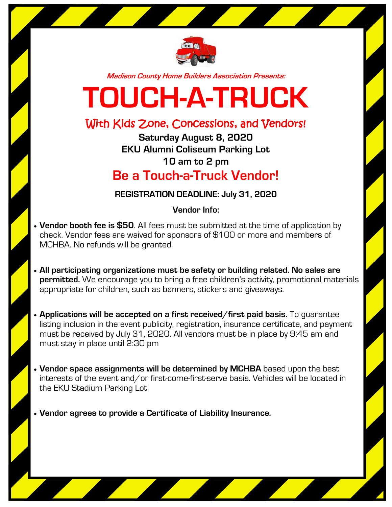

**Madison County Home Builders Association Presents:**

## **TOUCH-A-TRUCK**

## With Kids Zone, Concessions, and Vendors!

**Saturday August 8, 2020 EKU Alumni Coliseum Parking Lot 10 am to 2 pm Be a Touch-a-Truck Vendor!**

## **REGISTRATION DEADLINE: July 31, 2020**

**Vendor Info:**

- **Vendor booth fee is \$50**. All fees must be submitted at the time of application by check. Vendor fees are waived for sponsors of \$100 or more and members of MCHBA. No refunds will be granted.
- **All participating organizations must be safety or building related. No sales are permitted.** We encourage you to bring a free children's activity, promotional materials appropriate for children, such as banners, stickers and giveaways.
- **Applications will be accepted on a first received/first paid basis.** To guarantee listing inclusion in the event publicity, registration, insurance certificate, and payment must be received by July 31, 2020. All vendors must be in place by 9:45 am and must stay in place until 2:30 pm
- **Vendor space assignments will be determined by MCHBA** based upon the best interests of the event and/or first-come-first-serve basis. Vehicles will be located in the EKU Stadium Parking Lot
- **Vendor agrees to provide a Certificate of Liability Insurance.**